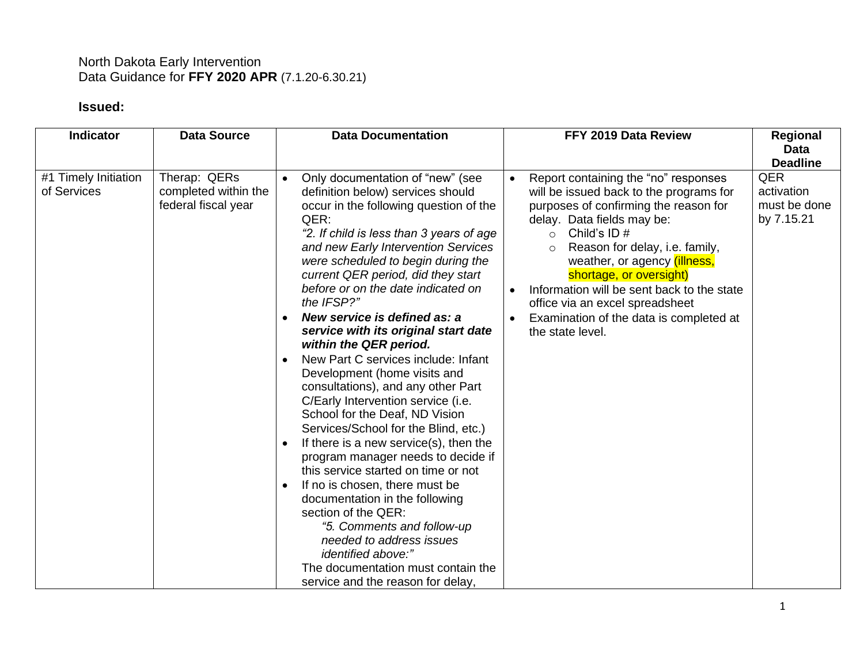## North Dakota Early Intervention Data Guidance for **FFY 2020 APR** (7.1.20-6.30.21)

## **Issued:**

| <b>Indicator</b>                    | <b>Data Source</b>                                          |  | <b>Data Documentation</b>                                                                                                                                                                                                                                                                                                                  |                        | FFY 2019 Data Review                                                                                                                                                                                                                                                                                                                                              | Regional<br><b>Data</b>                         |
|-------------------------------------|-------------------------------------------------------------|--|--------------------------------------------------------------------------------------------------------------------------------------------------------------------------------------------------------------------------------------------------------------------------------------------------------------------------------------------|------------------------|-------------------------------------------------------------------------------------------------------------------------------------------------------------------------------------------------------------------------------------------------------------------------------------------------------------------------------------------------------------------|-------------------------------------------------|
|                                     |                                                             |  |                                                                                                                                                                                                                                                                                                                                            |                        |                                                                                                                                                                                                                                                                                                                                                                   | <b>Deadline</b>                                 |
| #1 Timely Initiation<br>of Services | Therap: QERs<br>completed within the<br>federal fiscal year |  | Only documentation of "new" (see<br>definition below) services should<br>occur in the following question of the<br>QER:<br>"2. If child is less than 3 years of age<br>and new Early Intervention Services<br>were scheduled to begin during the<br>current QER period, did they start<br>before or on the date indicated on<br>the IFSP?" | $\bullet$<br>$\bullet$ | Report containing the "no" responses<br>will be issued back to the programs for<br>purposes of confirming the reason for<br>delay. Data fields may be:<br>Child's ID $#$<br>$\circ$<br>Reason for delay, i.e. family,<br>weather, or agency (illness,<br>shortage, or oversight)<br>Information will be sent back to the state<br>office via an excel spreadsheet | QER<br>activation<br>must be done<br>by 7.15.21 |
|                                     |                                                             |  | New service is defined as: a<br>service with its original start date<br>within the QER period.                                                                                                                                                                                                                                             |                        | Examination of the data is completed at<br>the state level.                                                                                                                                                                                                                                                                                                       |                                                 |
|                                     |                                                             |  | New Part C services include: Infant<br>Development (home visits and<br>consultations), and any other Part<br>C/Early Intervention service (i.e.<br>School for the Deaf, ND Vision<br>Services/School for the Blind, etc.)                                                                                                                  |                        |                                                                                                                                                                                                                                                                                                                                                                   |                                                 |
|                                     |                                                             |  | If there is a new service(s), then the<br>program manager needs to decide if<br>this service started on time or not                                                                                                                                                                                                                        |                        |                                                                                                                                                                                                                                                                                                                                                                   |                                                 |
|                                     |                                                             |  | If no is chosen, there must be<br>documentation in the following<br>section of the QER:<br>"5. Comments and follow-up<br>needed to address issues<br>identified above:"                                                                                                                                                                    |                        |                                                                                                                                                                                                                                                                                                                                                                   |                                                 |
|                                     |                                                             |  | The documentation must contain the<br>service and the reason for delay,                                                                                                                                                                                                                                                                    |                        |                                                                                                                                                                                                                                                                                                                                                                   |                                                 |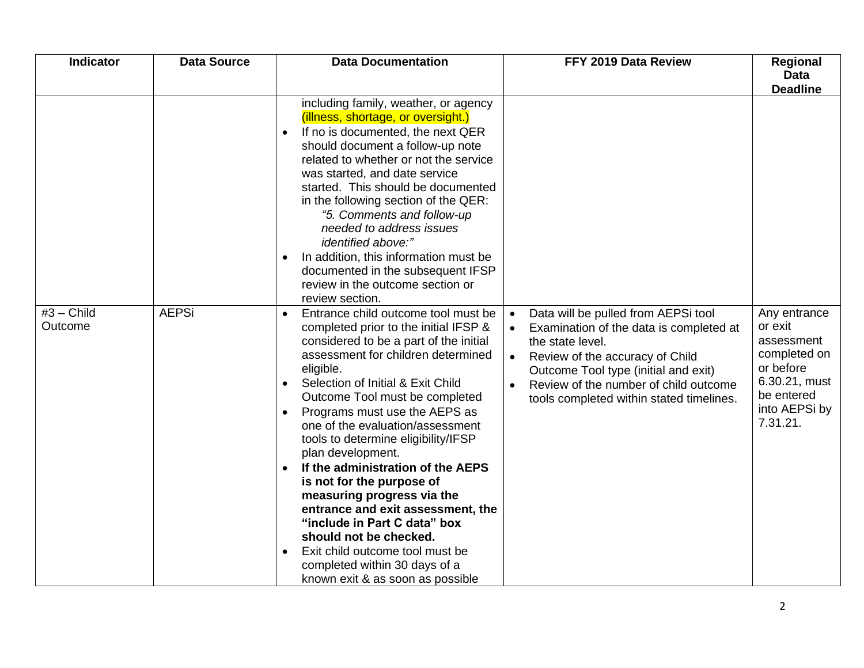| <b>Indicator</b>        | <b>Data Source</b> | <b>Data Documentation</b>                                                                                                                                                                                                                                                                                                                                                                                                                                                                                                                                                                                                                                                                                                                    | FFY 2019 Data Review                                                                                                                                                                                                                                                                                      | <b>Regional</b><br><b>Data</b><br><b>Deadline</b>                                                                              |
|-------------------------|--------------------|----------------------------------------------------------------------------------------------------------------------------------------------------------------------------------------------------------------------------------------------------------------------------------------------------------------------------------------------------------------------------------------------------------------------------------------------------------------------------------------------------------------------------------------------------------------------------------------------------------------------------------------------------------------------------------------------------------------------------------------------|-----------------------------------------------------------------------------------------------------------------------------------------------------------------------------------------------------------------------------------------------------------------------------------------------------------|--------------------------------------------------------------------------------------------------------------------------------|
|                         |                    | including family, weather, or agency<br>(illness, shortage, or oversight.)<br>If no is documented, the next QER<br>$\bullet$<br>should document a follow-up note<br>related to whether or not the service<br>was started, and date service<br>started. This should be documented<br>in the following section of the QER:<br>"5. Comments and follow-up<br>needed to address issues<br><i>identified above:"</i><br>In addition, this information must be<br>documented in the subsequent IFSP<br>review in the outcome section or<br>review section.                                                                                                                                                                                         |                                                                                                                                                                                                                                                                                                           |                                                                                                                                |
| $#3 - Child$<br>Outcome | <b>AEPSi</b>       | Entrance child outcome tool must be<br>$\bullet$<br>completed prior to the initial IFSP &<br>considered to be a part of the initial<br>assessment for children determined<br>eligible.<br>Selection of Initial & Exit Child<br>$\bullet$<br>Outcome Tool must be completed<br>Programs must use the AEPS as<br>$\bullet$<br>one of the evaluation/assessment<br>tools to determine eligibility/IFSP<br>plan development.<br>If the administration of the AEPS<br>is not for the purpose of<br>measuring progress via the<br>entrance and exit assessment, the<br>"include in Part C data" box<br>should not be checked.<br>Exit child outcome tool must be<br>$\bullet$<br>completed within 30 days of a<br>known exit & as soon as possible | Data will be pulled from AEPSi tool<br>$\bullet$<br>Examination of the data is completed at<br>$\bullet$<br>the state level.<br>Review of the accuracy of Child<br>$\bullet$<br>Outcome Tool type (initial and exit)<br>Review of the number of child outcome<br>tools completed within stated timelines. | Any entrance<br>or exit<br>assessment<br>completed on<br>or before<br>6.30.21, must<br>be entered<br>into AEPSi by<br>7.31.21. |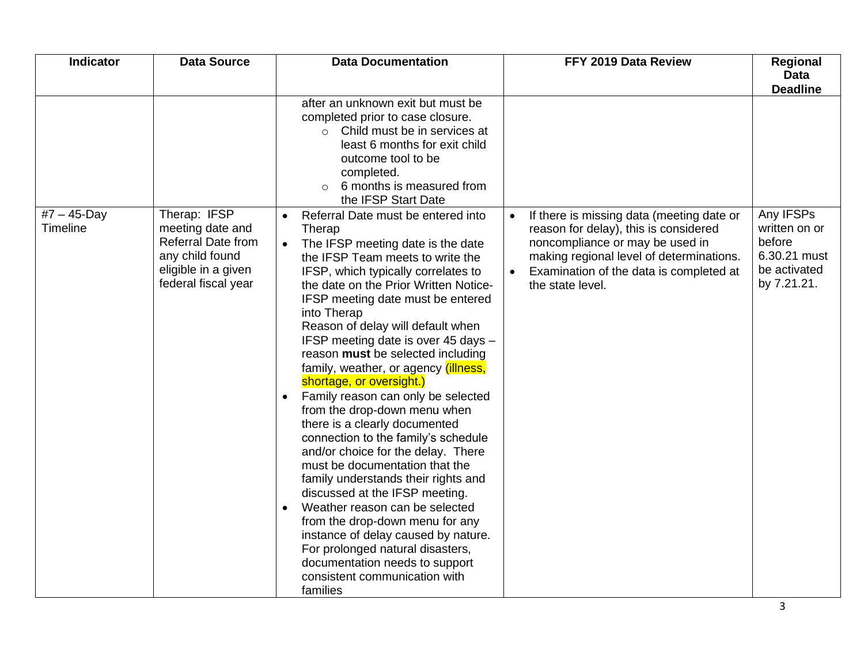| Indicator                   | <b>Data Source</b>                                                                                                             | <b>Data Documentation</b>                                                                                                                                                                                                                                                                                                                                                                                                                                                                                                                                                                                                                                                                                                                                                                                                                                                                                                                                                                                                  | FFY 2019 Data Review                                                                                                                                                                                                                          | Regional<br><b>Data</b><br><b>Deadline</b>                                          |
|-----------------------------|--------------------------------------------------------------------------------------------------------------------------------|----------------------------------------------------------------------------------------------------------------------------------------------------------------------------------------------------------------------------------------------------------------------------------------------------------------------------------------------------------------------------------------------------------------------------------------------------------------------------------------------------------------------------------------------------------------------------------------------------------------------------------------------------------------------------------------------------------------------------------------------------------------------------------------------------------------------------------------------------------------------------------------------------------------------------------------------------------------------------------------------------------------------------|-----------------------------------------------------------------------------------------------------------------------------------------------------------------------------------------------------------------------------------------------|-------------------------------------------------------------------------------------|
|                             |                                                                                                                                | after an unknown exit but must be<br>completed prior to case closure.<br>Child must be in services at<br>$\circ$<br>least 6 months for exit child<br>outcome tool to be<br>completed.<br>6 months is measured from<br>the IFSP Start Date                                                                                                                                                                                                                                                                                                                                                                                                                                                                                                                                                                                                                                                                                                                                                                                  |                                                                                                                                                                                                                                               |                                                                                     |
| $#7 - 45 - Day$<br>Timeline | Therap: IFSP<br>meeting date and<br><b>Referral Date from</b><br>any child found<br>eligible in a given<br>federal fiscal year | Referral Date must be entered into<br>$\bullet$<br>Therap<br>The IFSP meeting date is the date<br>$\bullet$<br>the IFSP Team meets to write the<br>IFSP, which typically correlates to<br>the date on the Prior Written Notice-<br>IFSP meeting date must be entered<br>into Therap<br>Reason of delay will default when<br>IFSP meeting date is over 45 days -<br>reason must be selected including<br>family, weather, or agency <i>(illness,</i><br>shortage, or oversight.)<br>Family reason can only be selected<br>from the drop-down menu when<br>there is a clearly documented<br>connection to the family's schedule<br>and/or choice for the delay. There<br>must be documentation that the<br>family understands their rights and<br>discussed at the IFSP meeting.<br>Weather reason can be selected<br>$\bullet$<br>from the drop-down menu for any<br>instance of delay caused by nature.<br>For prolonged natural disasters,<br>documentation needs to support<br>consistent communication with<br>families | If there is missing data (meeting date or<br>$\bullet$<br>reason for delay), this is considered<br>noncompliance or may be used in<br>making regional level of determinations.<br>Examination of the data is completed at<br>the state level. | Any IFSPs<br>written on or<br>before<br>6.30.21 must<br>be activated<br>by 7.21.21. |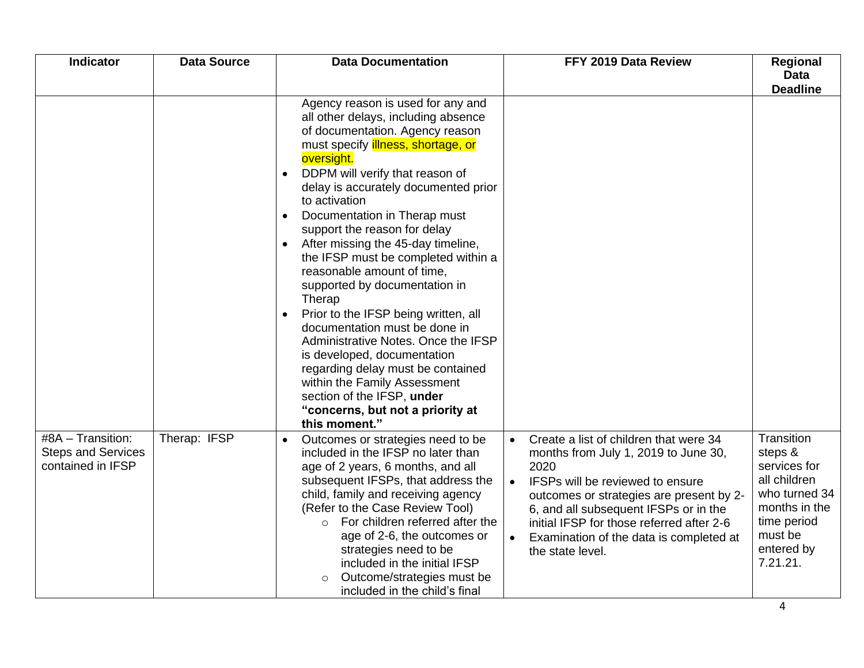| <b>Indicator</b>                                                    | <b>Data Source</b> | <b>Data Documentation</b>                                                                                                                                                                                                                                                                                                                                                                                                                                                                                                                                                                                                                                                                                                                                                                                                  | FFY 2019 Data Review                                                                                                                                                                                                                                                                                                                                  | Regional<br>Data<br><b>Deadline</b>                                                                                                         |
|---------------------------------------------------------------------|--------------------|----------------------------------------------------------------------------------------------------------------------------------------------------------------------------------------------------------------------------------------------------------------------------------------------------------------------------------------------------------------------------------------------------------------------------------------------------------------------------------------------------------------------------------------------------------------------------------------------------------------------------------------------------------------------------------------------------------------------------------------------------------------------------------------------------------------------------|-------------------------------------------------------------------------------------------------------------------------------------------------------------------------------------------------------------------------------------------------------------------------------------------------------------------------------------------------------|---------------------------------------------------------------------------------------------------------------------------------------------|
|                                                                     |                    | Agency reason is used for any and<br>all other delays, including absence<br>of documentation. Agency reason<br>must specify <i>illness</i> , shortage, or<br>oversight.<br>DDPM will verify that reason of<br>delay is accurately documented prior<br>to activation<br>Documentation in Therap must<br>$\bullet$<br>support the reason for delay<br>After missing the 45-day timeline,<br>$\bullet$<br>the IFSP must be completed within a<br>reasonable amount of time,<br>supported by documentation in<br>Therap<br>Prior to the IFSP being written, all<br>documentation must be done in<br>Administrative Notes. Once the IFSP<br>is developed, documentation<br>regarding delay must be contained<br>within the Family Assessment<br>section of the IFSP, under<br>"concerns, but not a priority at<br>this moment." |                                                                                                                                                                                                                                                                                                                                                       |                                                                                                                                             |
| #8A - Transition:<br><b>Steps and Services</b><br>contained in IFSP | Therap: IFSP       | Outcomes or strategies need to be<br>included in the IFSP no later than<br>age of 2 years, 6 months, and all<br>subsequent IFSPs, that address the<br>child, family and receiving agency<br>(Refer to the Case Review Tool)<br>For children referred after the<br>$\circ$<br>age of 2-6, the outcomes or<br>strategies need to be<br>included in the initial IFSP<br>Outcome/strategies must be<br>$\circ$<br>included in the child's final                                                                                                                                                                                                                                                                                                                                                                                | Create a list of children that were 34<br>months from July 1, 2019 to June 30,<br>2020<br>IFSPs will be reviewed to ensure<br>$\bullet$<br>outcomes or strategies are present by 2-<br>6, and all subsequent IFSPs or in the<br>initial IFSP for those referred after 2-6<br>Examination of the data is completed at<br>$\bullet$<br>the state level. | Transition<br>steps &<br>services for<br>all children<br>who turned 34<br>months in the<br>time period<br>must be<br>entered by<br>7.21.21. |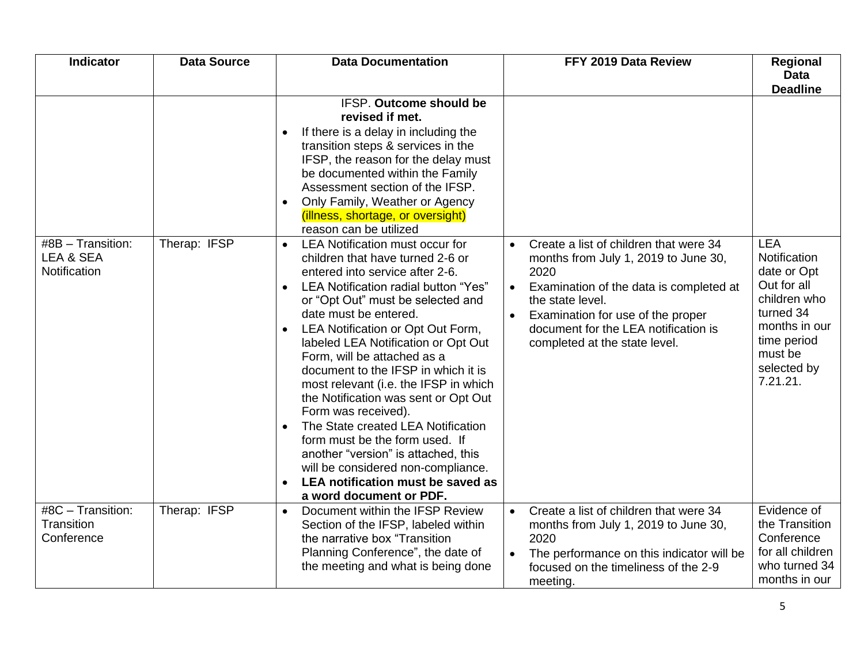| Indicator                                                   | <b>Data Source</b> | <b>Data Documentation</b>                                                                                                                                                                                                                                                                                                                                                                                                                                                                                                                                                                                                                                                                                                                                                                                                                                                                                                                                                                                                                                                                                     | FFY 2019 Data Review                                                                                                                                                                                                                                                                          | <b>Regional</b>                                                                                                                                             |
|-------------------------------------------------------------|--------------------|---------------------------------------------------------------------------------------------------------------------------------------------------------------------------------------------------------------------------------------------------------------------------------------------------------------------------------------------------------------------------------------------------------------------------------------------------------------------------------------------------------------------------------------------------------------------------------------------------------------------------------------------------------------------------------------------------------------------------------------------------------------------------------------------------------------------------------------------------------------------------------------------------------------------------------------------------------------------------------------------------------------------------------------------------------------------------------------------------------------|-----------------------------------------------------------------------------------------------------------------------------------------------------------------------------------------------------------------------------------------------------------------------------------------------|-------------------------------------------------------------------------------------------------------------------------------------------------------------|
|                                                             |                    |                                                                                                                                                                                                                                                                                                                                                                                                                                                                                                                                                                                                                                                                                                                                                                                                                                                                                                                                                                                                                                                                                                               |                                                                                                                                                                                                                                                                                               | <b>Data</b><br><b>Deadline</b>                                                                                                                              |
| $\overline{48B}$ – Transition:<br>LEA & SEA<br>Notification | Therap: IFSP       | IFSP. Outcome should be<br>revised if met.<br>If there is a delay in including the<br>$\bullet$<br>transition steps & services in the<br>IFSP, the reason for the delay must<br>be documented within the Family<br>Assessment section of the IFSP.<br>Only Family, Weather or Agency<br>$\bullet$<br>(illness, shortage, or oversight)<br>reason can be utilized<br><b>LEA Notification must occur for</b><br>$\bullet$<br>children that have turned 2-6 or<br>entered into service after 2-6.<br>LEA Notification radial button "Yes"<br>or "Opt Out" must be selected and<br>date must be entered.<br>LEA Notification or Opt Out Form,<br>$\bullet$<br>labeled LEA Notification or Opt Out<br>Form, will be attached as a<br>document to the IFSP in which it is<br>most relevant (i.e. the IFSP in which<br>the Notification was sent or Opt Out<br>Form was received).<br>The State created LEA Notification<br>$\bullet$<br>form must be the form used. If<br>another "version" is attached, this<br>will be considered non-compliance.<br>LEA notification must be saved as<br>a word document or PDF. | Create a list of children that were 34<br>$\bullet$<br>months from July 1, 2019 to June 30,<br>2020<br>Examination of the data is completed at<br>$\bullet$<br>the state level.<br>Examination for use of the proper<br>document for the LEA notification is<br>completed at the state level. | <b>LEA</b><br>Notification<br>date or Opt<br>Out for all<br>children who<br>turned 34<br>months in our<br>time period<br>must be<br>selected by<br>7.21.21. |
| #8C - Transition:<br>Transition<br>Conference               | Therap: IFSP       | Document within the IFSP Review<br>$\bullet$<br>Section of the IFSP, labeled within<br>the narrative box "Transition<br>Planning Conference", the date of<br>the meeting and what is being done                                                                                                                                                                                                                                                                                                                                                                                                                                                                                                                                                                                                                                                                                                                                                                                                                                                                                                               | Create a list of children that were 34<br>$\bullet$<br>months from July 1, 2019 to June 30,<br>2020<br>The performance on this indicator will be<br>focused on the timeliness of the 2-9<br>meeting.                                                                                          | Evidence of<br>the Transition<br>Conference<br>for all children<br>who turned 34<br>months in our                                                           |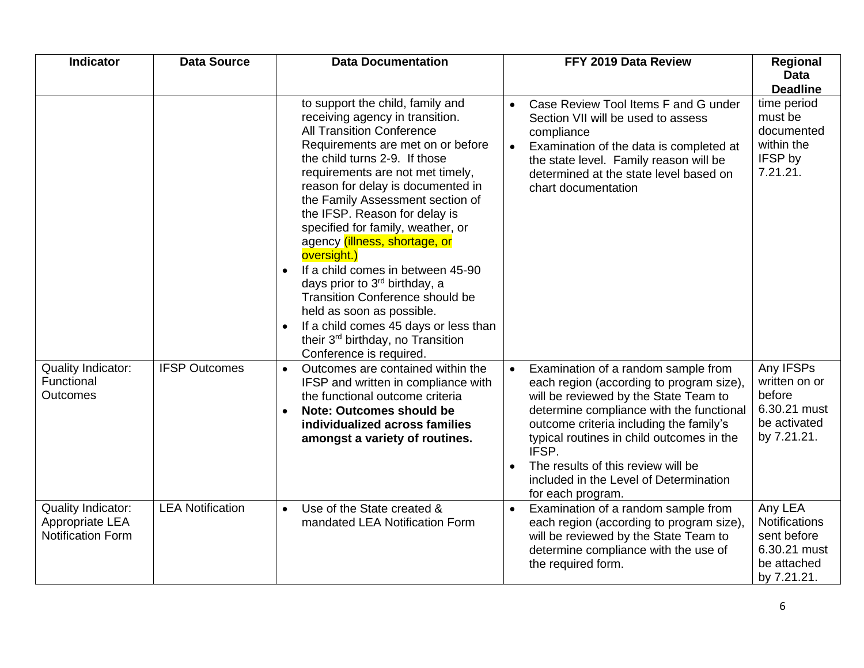| <b>Indicator</b>                                                         | <b>Data Source</b>      | <b>Data Documentation</b>                                                                                                                                                                                                                                                                                                                                                                                                                                                                                                                                                                                                                                                                       | FFY 2019 Data Review                                                                                                                                                                                                                                                                                                                                                                                 | Regional<br><b>Data</b><br><b>Deadline</b>                                                   |
|--------------------------------------------------------------------------|-------------------------|-------------------------------------------------------------------------------------------------------------------------------------------------------------------------------------------------------------------------------------------------------------------------------------------------------------------------------------------------------------------------------------------------------------------------------------------------------------------------------------------------------------------------------------------------------------------------------------------------------------------------------------------------------------------------------------------------|------------------------------------------------------------------------------------------------------------------------------------------------------------------------------------------------------------------------------------------------------------------------------------------------------------------------------------------------------------------------------------------------------|----------------------------------------------------------------------------------------------|
|                                                                          |                         | to support the child, family and<br>receiving agency in transition.<br><b>All Transition Conference</b><br>Requirements are met on or before<br>the child turns 2-9. If those<br>requirements are not met timely,<br>reason for delay is documented in<br>the Family Assessment section of<br>the IFSP. Reason for delay is<br>specified for family, weather, or<br>agency (illness, shortage, or<br>oversight.)<br>If a child comes in between 45-90<br>days prior to 3 <sup>rd</sup> birthday, a<br><b>Transition Conference should be</b><br>held as soon as possible.<br>If a child comes 45 days or less than<br>$\bullet$<br>their 3rd birthday, no Transition<br>Conference is required. | Case Review Tool Items F and G under<br>$\bullet$<br>Section VII will be used to assess<br>compliance<br>Examination of the data is completed at<br>$\bullet$<br>the state level. Family reason will be<br>determined at the state level based on<br>chart documentation                                                                                                                             | time period<br>must be<br>documented<br>within the<br>IFSP by<br>7.21.21.                    |
| <b>Quality Indicator:</b><br>Functional<br><b>Outcomes</b>               | <b>IFSP Outcomes</b>    | Outcomes are contained within the<br>$\bullet$<br>IFSP and written in compliance with<br>the functional outcome criteria<br><b>Note: Outcomes should be</b><br>$\bullet$<br>individualized across families<br>amongst a variety of routines.                                                                                                                                                                                                                                                                                                                                                                                                                                                    | Examination of a random sample from<br>$\bullet$<br>each region (according to program size),<br>will be reviewed by the State Team to<br>determine compliance with the functional<br>outcome criteria including the family's<br>typical routines in child outcomes in the<br>IFSP.<br>The results of this review will be<br>$\bullet$<br>included in the Level of Determination<br>for each program. | Any IFSPs<br>written on or<br>before<br>6.30.21 must<br>be activated<br>by 7.21.21.          |
| <b>Quality Indicator:</b><br>Appropriate LEA<br><b>Notification Form</b> | <b>LEA Notification</b> | Use of the State created &<br>$\bullet$<br>mandated LEA Notification Form                                                                                                                                                                                                                                                                                                                                                                                                                                                                                                                                                                                                                       | Examination of a random sample from<br>$\bullet$<br>each region (according to program size),<br>will be reviewed by the State Team to<br>determine compliance with the use of<br>the required form.                                                                                                                                                                                                  | Any LEA<br><b>Notifications</b><br>sent before<br>6.30.21 must<br>be attached<br>by 7.21.21. |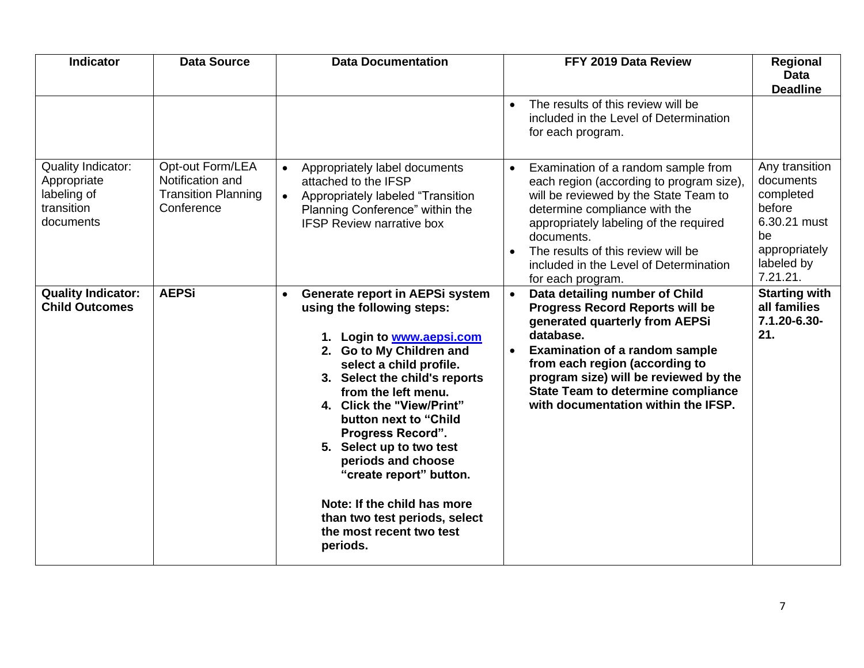| <b>Indicator</b>                                                                   | <b>Data Source</b>                                                               | <b>Data Documentation</b>                                                                                                                                                                                                                                                                                                                                                                                                                                                                     | FFY 2019 Data Review                                                                                                                                                                                                                                                                                                                                      | Regional<br><b>Data</b><br><b>Deadline</b>                                                                          |
|------------------------------------------------------------------------------------|----------------------------------------------------------------------------------|-----------------------------------------------------------------------------------------------------------------------------------------------------------------------------------------------------------------------------------------------------------------------------------------------------------------------------------------------------------------------------------------------------------------------------------------------------------------------------------------------|-----------------------------------------------------------------------------------------------------------------------------------------------------------------------------------------------------------------------------------------------------------------------------------------------------------------------------------------------------------|---------------------------------------------------------------------------------------------------------------------|
|                                                                                    |                                                                                  |                                                                                                                                                                                                                                                                                                                                                                                                                                                                                               | The results of this review will be<br>$\bullet$<br>included in the Level of Determination<br>for each program.                                                                                                                                                                                                                                            |                                                                                                                     |
| <b>Quality Indicator:</b><br>Appropriate<br>labeling of<br>transition<br>documents | Opt-out Form/LEA<br>Notification and<br><b>Transition Planning</b><br>Conference | Appropriately label documents<br>$\bullet$<br>attached to the IFSP<br>Appropriately labeled "Transition<br>$\bullet$<br>Planning Conference" within the<br><b>IFSP Review narrative box</b>                                                                                                                                                                                                                                                                                                   | Examination of a random sample from<br>$\bullet$<br>each region (according to program size),<br>will be reviewed by the State Team to<br>determine compliance with the<br>appropriately labeling of the required<br>documents.<br>The results of this review will be<br>included in the Level of Determination<br>for each program.                       | Any transition<br>documents<br>completed<br>before<br>6.30.21 must<br>be<br>appropriately<br>labeled by<br>7.21.21. |
| <b>Quality Indicator:</b><br><b>Child Outcomes</b>                                 | <b>AEPSi</b>                                                                     | Generate report in AEPSi system<br>$\bullet$<br>using the following steps:<br>1. Login to www.aepsi.com<br>2. Go to My Children and<br>select a child profile.<br>3. Select the child's reports<br>from the left menu.<br>4. Click the "View/Print"<br>button next to "Child<br><b>Progress Record".</b><br>5. Select up to two test<br>periods and choose<br>"create report" button.<br>Note: If the child has more<br>than two test periods, select<br>the most recent two test<br>periods. | Data detailing number of Child<br>$\bullet$<br><b>Progress Record Reports will be</b><br>generated quarterly from AEPSi<br>database.<br><b>Examination of a random sample</b><br>$\bullet$<br>from each region (according to<br>program size) will be reviewed by the<br><b>State Team to determine compliance</b><br>with documentation within the IFSP. | <b>Starting with</b><br>all families<br>7.1.20-6.30-<br>21.                                                         |